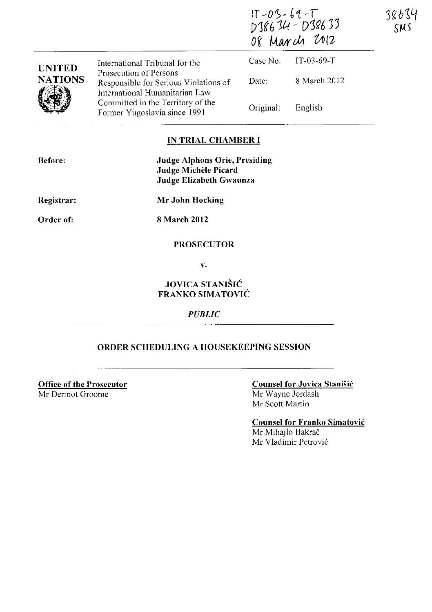|                | International Tribunal for the                                                                    | $17 - 03 - 69 - 7$<br>D38634 - D38633<br>Of March 2012 |              | 38634<br>SMS |
|----------------|---------------------------------------------------------------------------------------------------|--------------------------------------------------------|--------------|--------------|
| <b>UNITED</b>  |                                                                                                   | Case No.                                               | $IT-03-69-T$ |              |
| <b>NATIONS</b> | Prosecution of Persons<br>Responsible for Serious Violations of<br>International Humanitarian Law | Date:                                                  | 8 March 2012 |              |
|                | Committed in the Territory of the<br>Former Yugoslavia since 1991                                 | Original:                                              | English      |              |

## IN TRIAL CHAMBER **I**

| <b>Before:</b>    | <b>Judge Alphons Orie, Presiding</b><br>Judge Michèle Picard<br>Judge Elizabeth Gwaunza |
|-------------------|-----------------------------------------------------------------------------------------|
| <b>Registrar:</b> | Mr John Hocking                                                                         |
| Order of:         | 8 March 2012                                                                            |

## **PROSECUTOR**

v.

## JOVICA STANIŠIĆ FRANKO SIMATOVIC

*PUBLIC* 

## ORDER SCHEDULING A HOUSEKEEPING SESSION

**Office of the Prosecutor** Mr Dermot Groome

Counsel for Jovica Stanisic Mr Wayne Jordash Mr Scott Martin

Counsel for Franko Simatovic Mr Mihajlo Bakrač Mr Vladimir Petrovic